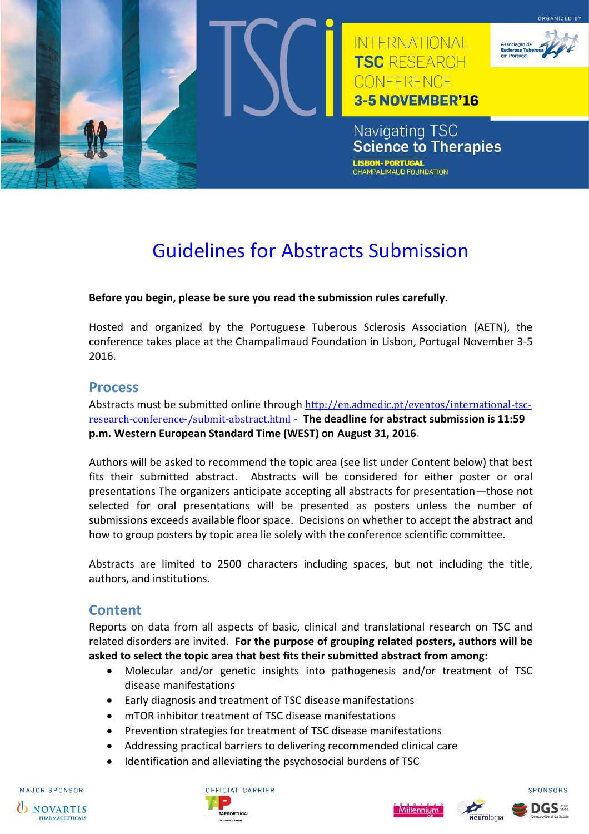

# Guidelines for Abstracts Submission

#### **Before you begin, please be sure you read the submission rules carefully.**

Hosted and organized by the Portuguese Tuberous Sclerosis Association (AETN), the conference takes place at the Champalimaud Foundation in Lisbon, Portugal November 3-5 2016.

#### **Process**

Abstracts must be submitted online through [http://en.admedic.pt/eventos/international-tsc](http://en.admedic.pt/eventos/international-tsc-research-conference-/submit-abstract.html)[research-conference-/submit-abstract.html](http://en.admedic.pt/eventos/international-tsc-research-conference-/submit-abstract.html) - **The deadline for abstract submission is 11:59 p.m. Western European Standard Time (WEST) on August 31, 2016.**

Authors will be asked to recommend the topic area (see list under Content below) that best fits their submitted abstract. Abstracts will be considered for either poster or oral presentations The organizers anticipate accepting all abstracts for presentation—those not selected for oral presentations will be presented as posters unless the number of submissions exceeds available floor space. Decisions on whether to accept the abstract and how to group posters by topic area lie solely with the conference scientific committee.

Abstracts are limited to 2500 characters including spaces, but not including the title, authors, and institutions.

#### **Content**

Reports on data from all aspects of basic, clinical and translational research on TSC and related disorders are invited. **For the purpose of grouping related posters, authors will be asked to select the topic area that best fits their submitted abstract from among:**

- Molecular and/or genetic insights into pathogenesis and/or treatment of TSC disease manifestations
- Early diagnosis and treatment of TSC disease manifestations
- mTOR inhibitor treatment of TSC disease manifestations
- Prevention strategies for treatment of TSC disease manifestations
- Addressing practical barriers to delivering recommended clinical care
- Identification and alleviating the psychosocial burdens of TSC

**MAJOR SPONSOR**